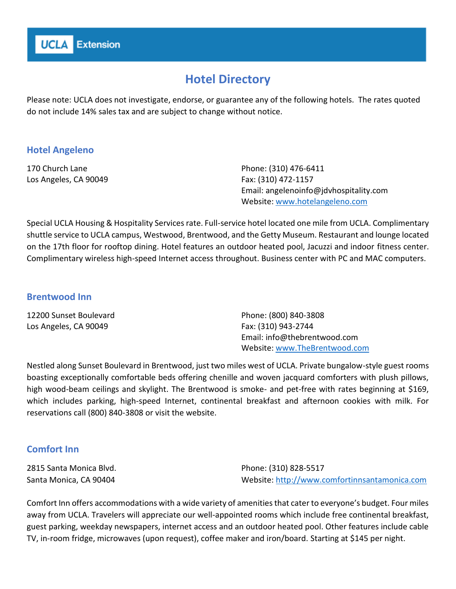# **Hotel Directory**

Please note: UCLA does not investigate, endorse, or guarantee any of the following hotels. The rates quoted do not include 14% sales tax and are subject to change without notice.

# **Hotel Angeleno**

170 Church Lane Los Angeles, CA 90049 Phone: (310) 476-6411 Fax: (310) 472-1157 Email: angelenoinfo@jdvhospitality.com Website: [www.hotelangeleno.com](http://www.hotelangeleno.com/)

Special UCLA Housing & Hospitality Services rate. Full-service hotel located one mile from UCLA. Complimentary shuttle service to UCLA campus, Westwood, Brentwood, and the Getty Museum. Restaurant and lounge located on the 17th floor for rooftop dining. Hotel features an outdoor heated pool, Jacuzzi and indoor fitness center. Complimentary wireless high-speed Internet access throughout. Business center with PC and MAC computers.

## **Brentwood Inn**

12200 Sunset Boulevard Los Angeles, CA 90049

Phone: (800) 840-3808 Fax: (310) 943-2744 Email: info@thebrentwood.com Website: [www.TheBrentwood.com](http://www.thebrentwood.com/)

Nestled along Sunset Boulevard in Brentwood, just two miles west of UCLA. Private bungalow-style guest rooms boasting exceptionally comfortable beds offering chenille and woven jacquard comforters with plush pillows, high wood-beam ceilings and skylight. The Brentwood is smoke- and pet-free with rates beginning at \$169, which includes parking, high-speed Internet, continental breakfast and afternoon cookies with milk. For reservations call (800) 840-3808 or visit the website.

## **Comfort Inn**

2815 Santa Monica Blvd. Santa Monica, CA 90404

Phone: (310) 828-5517 Website: [http://www.comfortinnsantamonica.com](http://www.comfortinnsantamonica.com/)

Comfort Inn offers accommodations with a wide variety of amenities that cater to everyone's budget. Four miles away from UCLA. Travelers will appreciate our well-appointed rooms which include free continental breakfast, guest parking, weekday newspapers, internet access and an outdoor heated pool. Other features include cable TV, in-room fridge, microwaves (upon request), coffee maker and iron/board. Starting at \$145 per night.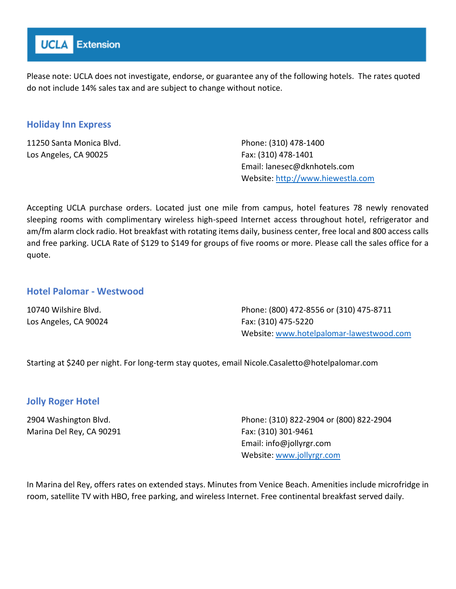

## **Holiday Inn Express**

11250 Santa Monica Blvd. Los Angeles, CA 90025

Phone: (310) 478-1400 Fax: (310) 478-1401 Email: lanesec@dknhotels.com Website: [http://www.hiewestla.com](http://www.hiewestla.com/)

Accepting UCLA purchase orders. Located just one mile from campus, hotel features 78 newly renovated sleeping rooms with complimentary wireless high-speed Internet access throughout hotel, refrigerator and am/fm alarm clock radio. Hot breakfast with rotating items daily, business center, free local and 800 access calls and free parking. UCLA Rate of \$129 to \$149 for groups of five rooms or more. Please call the sales office for a quote.

#### **Hotel Palomar - Westwood**

10740 Wilshire Blvd. Los Angeles, CA 90024 Phone: (800) 472-8556 or (310) 475-8711 Fax: (310) 475-5220 Website:<www.hotelpalomar-lawestwood.com>

Starting at \$240 per night. For long-term stay quotes, email Nicole.Casaletto@hotelpalomar.com

## **Jolly Roger Hotel**

2904 Washington Blvd. Marina Del Rey, CA 90291 Phone: (310) 822-2904 or (800) 822-2904 Fax: (310) 301-9461 Email: info@jollyrgr.com Website: [www.jollyrgr.com](www.jollyrgr.com%20)

In Marina del Rey, offers rates on extended stays. Minutes from Venice Beach. Amenities include microfridge in room, satellite TV with HBO, free parking, and wireless Internet. Free continental breakfast served daily.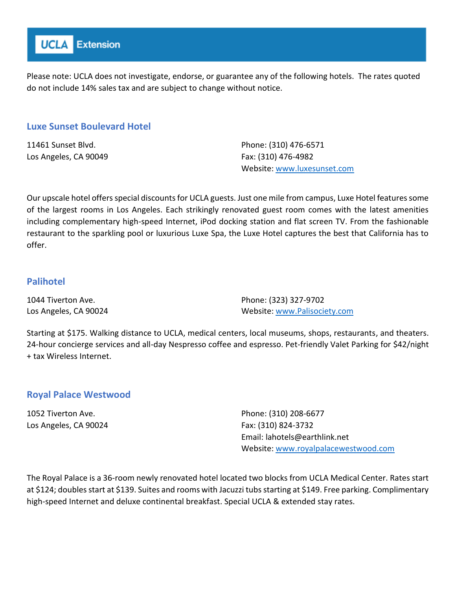

#### **Luxe Sunset Boulevard Hotel**

11461 Sunset Blvd. Los Angeles, CA 90049 Phone: (310) 476-6571 Fax: (310) 476-4982 Website:<www.luxesunset.com>

Our upscale hotel offers special discounts for UCLA guests. Just one mile from campus, Luxe Hotel features some of the largest rooms in Los Angeles. Each strikingly renovated guest room comes with the latest amenities including complementary high-speed Internet, iPod docking station and flat screen TV. From the fashionable restaurant to the sparkling pool or luxurious Luxe Spa, the Luxe Hotel captures the best that California has to offer.

## **Palihotel**

1044 Tiverton Ave. Los Angeles, CA 90024 Phone: (323) 327-9702 Website: [www.Palisociety.com](http://www.palisociety.com/)

Starting at \$175. Walking distance to UCLA, medical centers, local museums, shops, restaurants, and theaters. 24-hour concierge services and all-day Nespresso coffee and espresso. Pet-friendly Valet Parking for \$42/night + tax Wireless Internet.

#### **Royal Palace Westwood**

1052 Tiverton Ave. Los Angeles, CA 90024 Phone: (310) 208-6677 Fax: (310) 824-3732 Email: lahotels@earthlink.net Website:<www.royalpalacewestwood.com>

The Royal Palace is a 36-room newly renovated hotel located two blocks from UCLA Medical Center. Rates start at \$124; doubles start at \$139. Suites and rooms with Jacuzzi tubs starting at \$149. Free parking. Complimentary high-speed Internet and deluxe continental breakfast. Special UCLA & extended stay rates.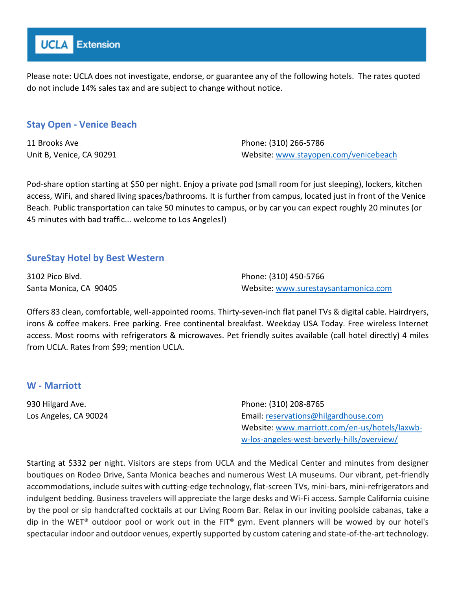

## **Stay Open - Venice Beach**

11 Brooks Ave Unit B, Venice, CA 90291 Phone: (310) 266-5786 Website:<www.stayopen.com/venicebeach>

Pod-share option starting at \$50 per night. Enjoy a private pod (small room for just sleeping), lockers, kitchen access, WiFi, and shared living spaces/bathrooms. It is further from campus, located just in front of the Venice Beach. Public transportation can take 50 minutes to campus, or by car you can expect roughly 20 minutes (or 45 minutes with bad traffic... welcome to Los Angeles!)

## **SureStay Hotel by Best Western**

3102 Pico Blvd. Santa Monica, CA 90405 Phone: (310) 450-5766 Website: [www.surestaysantamonica.com](http://www.surestaysantamonica.com/)

Offers 83 clean, comfortable, well-appointed rooms. Thirty-seven-inch flat panel TVs & digital cable. Hairdryers, irons & coffee makers. Free parking. Free continental breakfast. Weekday USA Today. Free wireless Internet access. Most rooms with refrigerators & microwaves. Pet friendly suites available (call hotel directly) 4 miles from UCLA. Rates from \$99; mention UCLA.

#### **W - Marriott**

930 Hilgard Ave. Los Angeles, CA 90024 Phone: (310) 208-8765 Email[: reservations@hilgardhouse.com](mailto:reservations@hilgardhouse.com) Website: [www.marriott.com/en-us/hotels/laxwb](http://www.marriott.com/en-us/hotels/laxwb-w-los-angeles-west-beverly-hills/overview/)[w-los-angeles-west-beverly-hills/overview/](http://www.marriott.com/en-us/hotels/laxwb-w-los-angeles-west-beverly-hills/overview/)

Starting at \$332 per night. Visitors are steps from UCLA and the Medical Center and minutes from designer boutiques on Rodeo Drive, Santa Monica beaches and numerous West LA museums. Our vibrant, pet-friendly accommodations, include suites with cutting-edge technology, flat-screen TVs, mini-bars, mini-refrigerators and indulgent bedding. Business travelers will appreciate the large desks and Wi-Fi access. Sample California cuisine by the pool or sip handcrafted cocktails at our Living Room Bar. Relax in our inviting poolside cabanas, take a dip in the WET® outdoor pool or work out in the FIT® gym. Event planners will be wowed by our hotel's spectacular indoor and outdoor venues, expertly supported by custom catering and state-of-the-art technology.